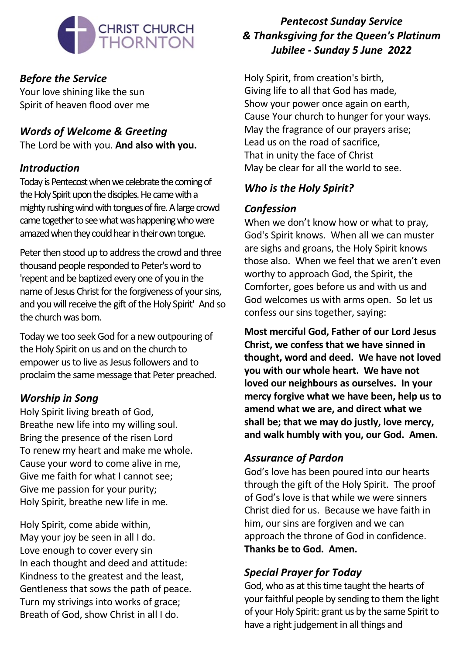

### *Before the Service*

Your love shining like the sun Spirit of heaven flood over me

#### *Words of Welcome & Greeting*

The Lord be with you. **And also with you.**

#### *Introduction*

Today is Pentecost when we celebrate the coming of the Holy Spirit upon the disciples. He came with a mighty rushing wind with tongues of fire. A large crowd came together to see what was happening who were amazed when they could hear in their own tongue.

Peter then stood up to address the crowd and three thousand people responded to Peter's word to 'repent and be baptized every one of you in the name of Jesus Christ for the forgiveness of your sins, and you will receive the gift of the Holy Spirit' And so the church was born.

Today we too seek God for a new outpouring of the Holy Spirit on us and on the church to empower us to live as Jesus followers and to proclaim the same message that Peter preached.

#### *Worship in Song*

Holy Spirit living breath of God, Breathe new life into my willing soul. Bring the presence of the risen Lord To renew my heart and make me whole. Cause your word to come alive in me, Give me faith for what I cannot see; Give me passion for your purity; Holy Spirit, breathe new life in me.

Holy Spirit, come abide within, May your joy be seen in all I do. Love enough to cover every sin In each thought and deed and attitude: Kindness to the greatest and the least, Gentleness that sows the path of peace. Turn my strivings into works of grace; Breath of God, show Christ in all I do.

## *Pentecost Sunday Service & Thanksgiving for the Queen's Platinum Jubilee - Sunday 5 June 2022*

Holy Spirit, from creation's birth, Giving life to all that God has made, Show your power once again on earth, Cause Your church to hunger for your ways. May the fragrance of our prayers arise; Lead us on the road of sacrifice, That in unity the face of Christ May be clear for all the world to see.

### *Who is the Holy Spirit?*

### *Confession*

When we don't know how or what to pray, God's Spirit knows. When all we can muster are sighs and groans, the Holy Spirit knows those also. When we feel that we aren't even worthy to approach God, the Spirit, the Comforter, goes before us and with us and God welcomes us with arms open. So let us confess our sins together, saying:

**Most merciful God, Father of our Lord Jesus Christ, we confess that we have sinned in thought, word and deed. We have not loved you with our whole heart. We have not loved our neighbours as ourselves. In your mercy forgive what we have been, help us to amend what we are, and direct what we shall be; that we may do justly, love mercy, and walk humbly with you, our God. Amen.**

#### *Assurance of Pardon*

God's love has been poured into our hearts through the gift of the Holy Spirit. The proof of God's love is that while we were sinners Christ died for us. Because we have faith in him, our sins are forgiven and we can approach the throne of God in confidence. **Thanks be to God. Amen.**

### *Special Prayer for Today*

God, who as at this time taught the hearts of your faithful people by sending to them the light of your Holy Spirit: grant us by the same Spirit to have a right judgement in all things and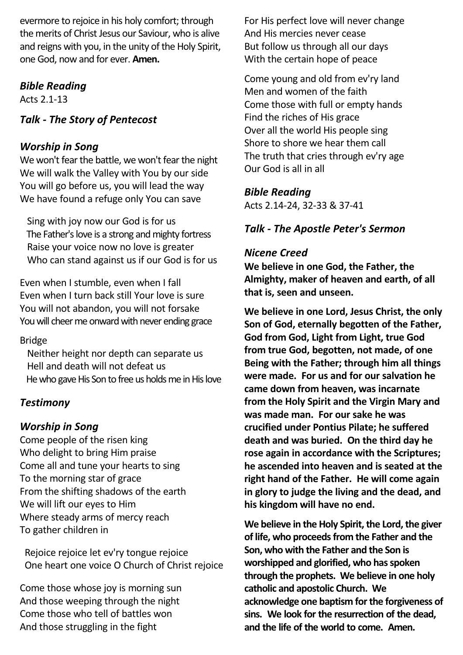evermore to rejoice in his holy comfort; through the merits of Christ Jesus our Saviour, who is alive and reigns with you, in the unity of the Holy Spirit, one God, now and for ever. **Amen.**

### *Bible Reading*

Acts 2.1-13

## *Talk - The Story of Pentecost*

## *Worship in Song*

We won't fear the battle, we won't fear the night We will walk the Valley with You by our side You will go before us, you will lead the way We have found a refuge only You can save

 Sing with joy now our God is for us The Father's love is a strong and mighty fortress Raise your voice now no love is greater Who can stand against us if our God is for us

Even when I stumble, even when I fall Even when I turn back still Your love is sure You will not abandon, you will not forsake You will cheer me onward with never ending grace

### Bridge

 Neither height nor depth can separate us Hell and death will not defeat us He who gave His Son to free us holds me in His love

## *Testimony*

## *Worship in Song*

Come people of the risen king Who delight to bring Him praise Come all and tune your hearts to sing To the morning star of grace From the shifting shadows of the earth We will lift our eyes to Him Where steady arms of mercy reach To gather children in

 Rejoice rejoice let ev'ry tongue rejoice One heart one voice O Church of Christ rejoice

Come those whose joy is morning sun And those weeping through the night Come those who tell of battles won And those struggling in the fight

For His perfect love will never change And His mercies never cease But follow us through all our days With the certain hope of peace

Come young and old from ev'ry land Men and women of the faith Come those with full or empty hands Find the riches of His grace Over all the world His people sing Shore to shore we hear them call The truth that cries through ev'ry age Our God is all in all

### *Bible Reading*

Acts 2.14-24, 32-33 & 37-41

## *Talk - The Apostle Peter's Sermon*

## *Nicene Creed*

**We believe in one God, the Father, the Almighty, maker of heaven and earth, of all that is, seen and unseen.**

**We believe in one Lord, Jesus Christ, the only Son of God, eternally begotten of the Father, God from God, Light from Light, true God from true God, begotten, not made, of one Being with the Father; through him all things were made. For us and for our salvation he came down from heaven, was incarnate from the Holy Spirit and the Virgin Mary and was made man. For our sake he was crucified under Pontius Pilate; he suffered death and was buried. On the third day he rose again in accordance with the Scriptures; he ascended into heaven and is seated at the right hand of the Father. He will come again in glory to judge the living and the dead, and his kingdom will have no end.**

**We believe in the Holy Spirit, the Lord, the giver of life, who proceedsfrom the Father and the Son, who with the Father and the Son is worshipped** and glorified, who has spoken **through the prophets. We believe in one holy catholic and apostolic Church. We acknowledge one baptism forthe forgiveness of sins. We look for the resurrection of the dead, and the life of the world to come. Amen.**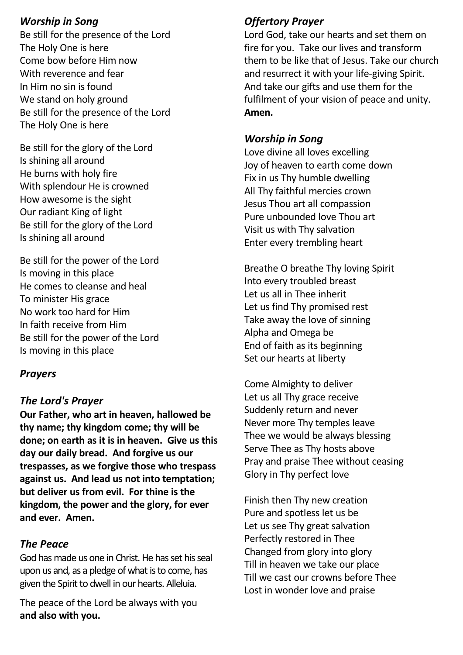### *Worship in Song*

Be still for the presence of the Lord The Holy One is here Come bow before Him now With reverence and fear In Him no sin is found We stand on holy ground Be still for the presence of the Lord The Holy One is here

Be still for the glory of the Lord Is shining all around He burns with holy fire With splendour He is crowned How awesome is the sight Our radiant King of light Be still for the glory of the Lord Is shining all around

Be still for the power of the Lord Is moving in this place He comes to cleanse and heal To minister His grace No work too hard for Him In faith receive from Him Be still for the power of the Lord Is moving in this place

## *Prayers*

### *The Lord's Prayer*

**Our Father, who art in heaven, hallowed be thy name; thy kingdom come; thy will be done; on earth as it is in heaven. Give us this day our daily bread. And forgive us our trespasses, as we forgive those who trespass against us. And lead us not into temptation; but deliver us from evil. For thine is the kingdom, the power and the glory, for ever and ever. Amen.**

### *The Peace*

God has made us one in Christ. He has set his seal upon us and, as a pledge of what is to come, has given the Spirit to dwell in our hearts. Alleluia.

The peace of the Lord be always with you **and also with you.**

## *Offertory Prayer*

Lord God, take our hearts and set them on fire for you. Take our lives and transform them to be like that of Jesus. Take our church and resurrect it with your life-giving Spirit. And take our gifts and use them for the fulfilment of your vision of peace and unity. **Amen.**

### *Worship in Song*

Love divine all loves excelling Joy of heaven to earth come down Fix in us Thy humble dwelling All Thy faithful mercies crown Jesus Thou art all compassion Pure unbounded love Thou art Visit us with Thy salvation Enter every trembling heart

Breathe O breathe Thy loving Spirit Into every troubled breast Let us all in Thee inherit Let us find Thy promised rest Take away the love of sinning Alpha and Omega be End of faith as its beginning Set our hearts at liberty

Come Almighty to deliver Let us all Thy grace receive Suddenly return and never Never more Thy temples leave Thee we would be always blessing Serve Thee as Thy hosts above Pray and praise Thee without ceasing Glory in Thy perfect love

Finish then Thy new creation Pure and spotless let us be Let us see Thy great salvation Perfectly restored in Thee Changed from glory into glory Till in heaven we take our place Till we cast our crowns before Thee Lost in wonder love and praise